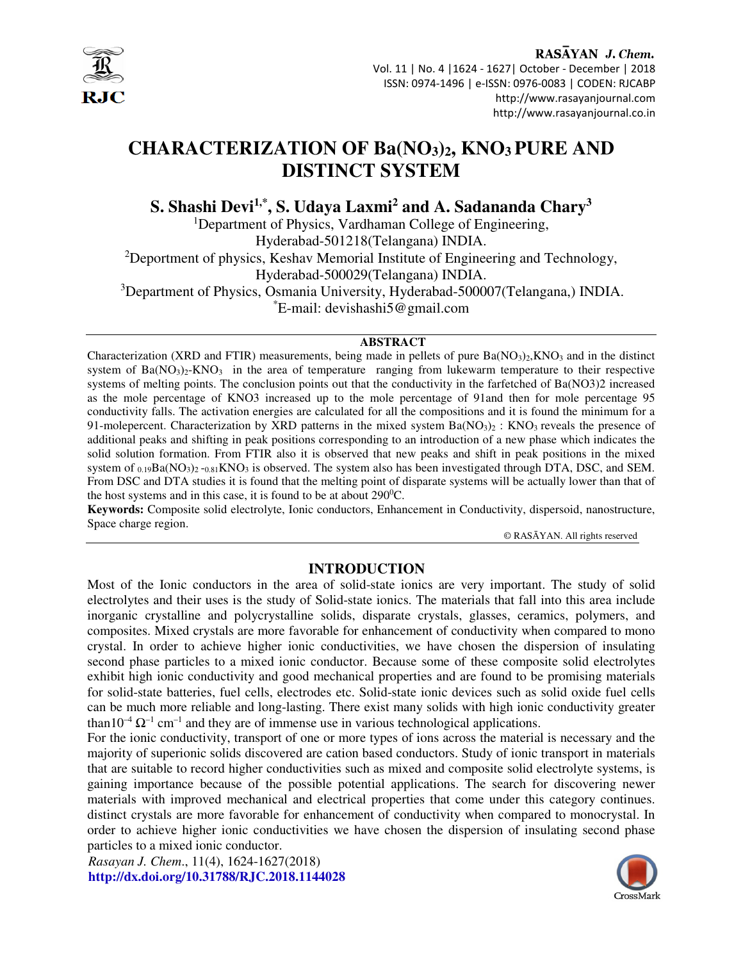

### RASAYAN J. Chem.

 Vol. 11 | No. 4 |1624 - 1627| October - December | 2018 ISSN: 0974-1496 | e-ISSN: 0976-0083 | CODEN: RJCABP http://www.rasayanjournal.com http://www.rasayanjournal.co.in

# **CHARACTERIZATION OF Ba(NO3)2, KNO3 PURE AND DISTINCT SYSTEM**

**S. Shashi Devi1,\*, S. Udaya Laxmi<sup>2</sup> and A. Sadananda Chary<sup>3</sup>**

<sup>1</sup>Department of Physics, Vardhaman College of Engineering, Hyderabad-501218(Telangana) INDIA. <sup>2</sup>Deportment of physics, Keshav Memorial Institute of Engineering and Technology, Hyderabad-500029(Telangana) INDIA. <sup>3</sup>Department of Physics, Osmania University, Hyderabad-500007(Telangana,) INDIA. \*E-mail: devishashi5@gmail.com

#### **ABSTRACT**

Characterization (XRD and FTIR) measurements, being made in pellets of pure  $Ba(NO<sub>3</sub>)<sub>2</sub>,KNO<sub>3</sub>$  and in the distinct system of  $Ba(NO<sub>3</sub>)<sub>2</sub>-KNO<sub>3</sub>$  in the area of temperature ranging from lukewarm temperature to their respective systems of melting points. The conclusion points out that the conductivity in the farfetched of Ba(NO3)2 increased as the mole percentage of KNO3 increased up to the mole percentage of 91and then for mole percentage 95 conductivity falls. The activation energies are calculated for all the compositions and it is found the minimum for a 91-molepercent. Characterization by XRD patterns in the mixed system  $Ba(NO<sub>3</sub>)<sub>2</sub>$ : KNO<sub>3</sub> reveals the presence of additional peaks and shifting in peak positions corresponding to an introduction of a new phase which indicates the solid solution formation. From FTIR also it is observed that new peaks and shift in peak positions in the mixed system of  $_{0.19}Ba(NO_3)_2 -_{0.81}KNO_3$  is observed. The system also has been investigated through DTA, DSC, and SEM. From DSC and DTA studies it is found that the melting point of disparate systems will be actually lower than that of the host systems and in this case, it is found to be at about  $290^{\circ}$ C.

**Keywords:** Composite solid electrolyte, Ionic conductors, Enhancement in Conductivity, dispersoid, nanostructure, Space charge region.

© RASĀYAN. All rights reserved

## **INTRODUCTION**

Most of the Ionic conductors in the area of solid-state ionics are very important. The study of solid electrolytes and their uses is the study of Solid-state ionics. The materials that fall into this area include inorganic crystalline and polycrystalline solids, disparate crystals, glasses, ceramics, polymers, and composites. Mixed crystals are more favorable for enhancement of conductivity when compared to mono crystal. In order to achieve higher ionic conductivities, we have chosen the dispersion of insulating second phase particles to a mixed ionic conductor. Because some of these composite solid electrolytes exhibit high ionic conductivity and good mechanical properties and are found to be promising materials for solid-state batteries, fuel cells, electrodes etc. Solid-state ionic devices such as solid oxide fuel cells can be much more reliable and long-lasting. There exist many solids with high ionic conductivity greater than  $10^{-4} \Omega^{-1}$  cm<sup>-1</sup> and they are of immense use in various technological applications.

For the ionic conductivity, transport of one or more types of ions across the material is necessary and the majority of superionic solids discovered are cation based conductors. Study of ionic transport in materials that are suitable to record higher conductivities such as mixed and composite solid electrolyte systems, is gaining importance because of the possible potential applications. The search for discovering newer materials with improved mechanical and electrical properties that come under this category continues. distinct crystals are more favorable for enhancement of conductivity when compared to monocrystal. In order to achieve higher ionic conductivities we have chosen the dispersion of insulating second phase particles to a mixed ionic conductor.

*Rasayan J. Chem*., 11(4), 1624-1627(2018) **http://dx.doi.org/10.31788/RJC.2018.1144028** 

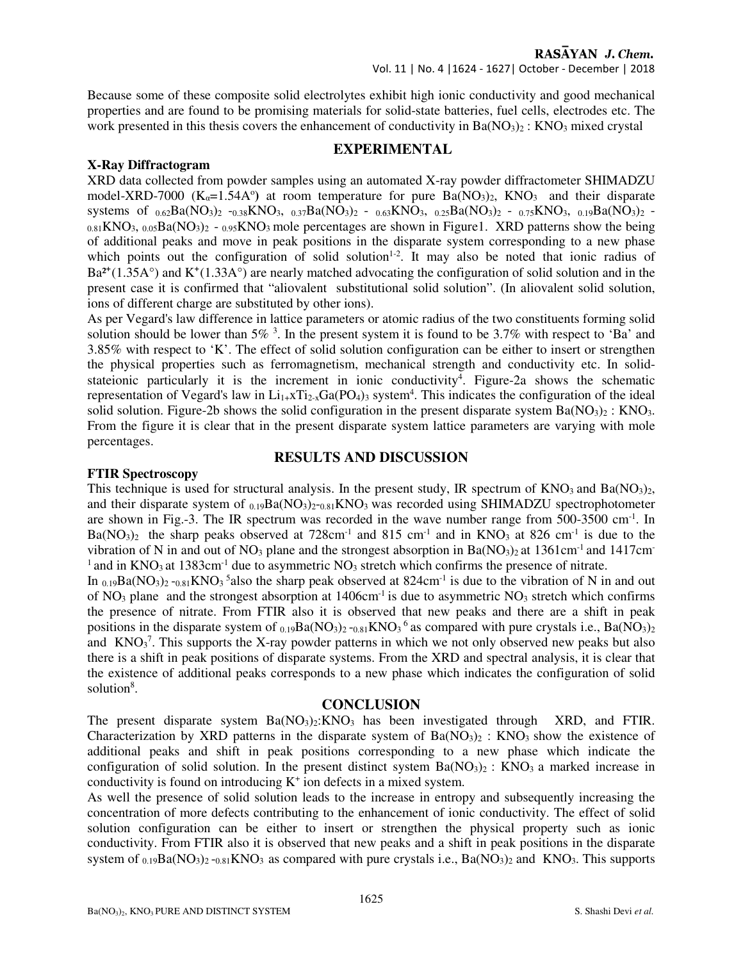Because some of these composite solid electrolytes exhibit high ionic conductivity and good mechanical properties and are found to be promising materials for solid-state batteries, fuel cells, electrodes etc. The work presented in this thesis covers the enhancement of conductivity in  $Ba(NO<sub>3</sub>)<sub>2</sub>$ : KNO<sub>3</sub> mixed crystal

# **EXPERIMENTAL**

## **X-Ray Diffractogram**

XRD data collected from powder samples using an automated X-ray powder diffractometer SHIMADZU model-XRD-7000  $(K_\alpha=1.54A^\circ)$  at room temperature for pure  $Ba(NO_3)_2$ , KNO<sub>3</sub> and their disparate systems of  $_{0.62}Ba(NO_3)_2$  -0.38KNO<sub>3</sub>, 0.37Ba(NO<sub>3</sub>)<sub>2</sub> - 0.63KNO<sub>3</sub>, 0.25Ba(NO<sub>3</sub>)<sub>2</sub> - 0.75KNO<sub>3</sub>, 0.19Ba(NO<sub>3</sub>)<sub>2</sub> - $_{0.81}$ KNO<sub>3</sub>,  $_{0.05}$ Ba(NO<sub>3</sub>)<sub>2</sub> -  $_{0.95}$ KNO<sub>3</sub> mole percentages are shown in Figure1. XRD patterns show the being of additional peaks and move in peak positions in the disparate system corresponding to a new phase which points out the configuration of solid solution<sup>1-2</sup>. It may also be noted that ionic radius of  $Ba^{2+}(1.35A^{\circ})$  and  $K^{+}(1.33A^{\circ})$  are nearly matched advocating the configuration of solid solution and in the present case it is confirmed that "aliovalent substitutional solid solution". (In aliovalent solid solution, ions of different charge are substituted by other ions).

As per Vegard's law difference in lattice parameters or atomic radius of the two constituents forming solid solution should be lower than  $5\%$ <sup>3</sup>. In the present system it is found to be 3.7% with respect to 'Ba' and 3.85% with respect to 'K'. The effect of solid solution configuration can be either to insert or strengthen the physical properties such as ferromagnetism, mechanical strength and conductivity etc. In solidstateionic particularly it is the increment in ionic conductivity<sup>4</sup>. Figure-2a shows the schematic representation of Vegard's law in  $Li_{1+}xTi_{2-x}Ga(PO_4)_3$  system<sup>4</sup>. This indicates the configuration of the ideal solid solution. Figure-2b shows the solid configuration in the present disparate system  $Ba(NO<sub>3</sub>)<sub>2</sub>$ : KNO<sub>3</sub>. From the figure it is clear that in the present disparate system lattice parameters are varying with mole percentages.

# **RESULTS AND DISCUSSION**

## **FTIR Spectroscopy**

This technique is used for structural analysis. In the present study, IR spectrum of  $\rm{KNO_3}$  and  $\rm{Ba}(\rm{NO_3})_2$ , and their disparate system of  $_{0.19}Ba(NO_3)_{2-0.81}KNO_3$  was recorded using SHIMADZU spectrophotometer are shown in Fig.-3. The IR spectrum was recorded in the wave number range from 500-3500 cm<sup>-1</sup>. In  $Ba(NO<sub>3</sub>)<sub>2</sub>$  the sharp peaks observed at 728cm<sup>-1</sup> and 815 cm<sup>-1</sup> and in KNO<sub>3</sub> at 826 cm<sup>-1</sup> is due to the vibration of N in and out of NO<sub>3</sub> plane and the strongest absorption in Ba(NO<sub>3</sub>)<sub>2</sub> at 1361cm<sup>-1</sup> and 1417cm<sup>-1</sup> <sup>1</sup> and in KNO<sub>3</sub> at 1383cm<sup>-1</sup> due to asymmetric NO<sub>3</sub> stretch which confirms the presence of nitrate.

In  $_{0.19}Ba(NO_3)_2$  - $_{0.81}KNO_3$ <sup>5</sup> also the sharp peak observed at 824cm<sup>-1</sup> is due to the vibration of N in and out of  $NO_3$  plane and the strongest absorption at 1406cm<sup>-1</sup> is due to asymmetric  $NO_3$  stretch which confirms the presence of nitrate. From FTIR also it is observed that new peaks and there are a shift in peak positions in the disparate system of  $_{0.19}Ba(NO_3)_2 -_{0.81}KNO_3$ <sup>6</sup> as compared with pure crystals i.e., Ba(NO<sub>3</sub>)<sub>2</sub> and  $KNO<sub>3</sub><sup>7</sup>$ . This supports the X-ray powder patterns in which we not only observed new peaks but also there is a shift in peak positions of disparate systems. From the XRD and spectral analysis, it is clear that the existence of additional peaks corresponds to a new phase which indicates the configuration of solid solution<sup>8</sup>.

## **CONCLUSION**

The present disparate system  $Ba(NO_3)$ : KNO<sub>3</sub> has been investigated through XRD, and FTIR. Characterization by XRD patterns in the disparate system of  $Ba(NO<sub>3</sub>)<sub>2</sub>$ : KNO<sub>3</sub> show the existence of additional peaks and shift in peak positions corresponding to a new phase which indicate the configuration of solid solution. In the present distinct system  $Ba(NO<sub>3</sub>)<sub>2</sub>$ : KNO<sub>3</sub> a marked increase in conductivity is found on introducing  $K^+$  ion defects in a mixed system.

As well the presence of solid solution leads to the increase in entropy and subsequently increasing the concentration of more defects contributing to the enhancement of ionic conductivity. The effect of solid solution configuration can be either to insert or strengthen the physical property such as ionic conductivity. From FTIR also it is observed that new peaks and a shift in peak positions in the disparate system of  $_{0.19}Ba(NO_3)_2 -_{0.81}KNO_3$  as compared with pure crystals i.e.,  $Ba(NO_3)_2$  and KNO<sub>3</sub>. This supports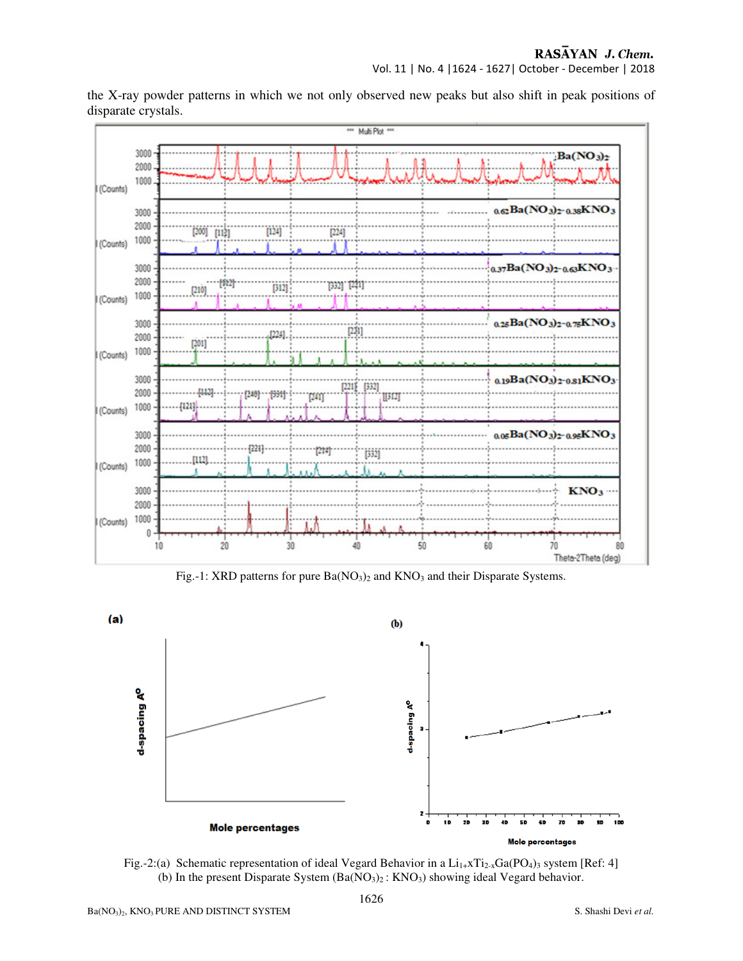Vol. 11 | No. 4 |1624 - 1627| October - December | 2018



the X-ray powder patterns in which we not only observed new peaks but also shift in peak positions of disparate crystals.

Fig.-1: XRD patterns for pure Ba(NO<sub>3</sub>)<sub>2</sub> and KNO<sub>3</sub> and their Disparate Systems.